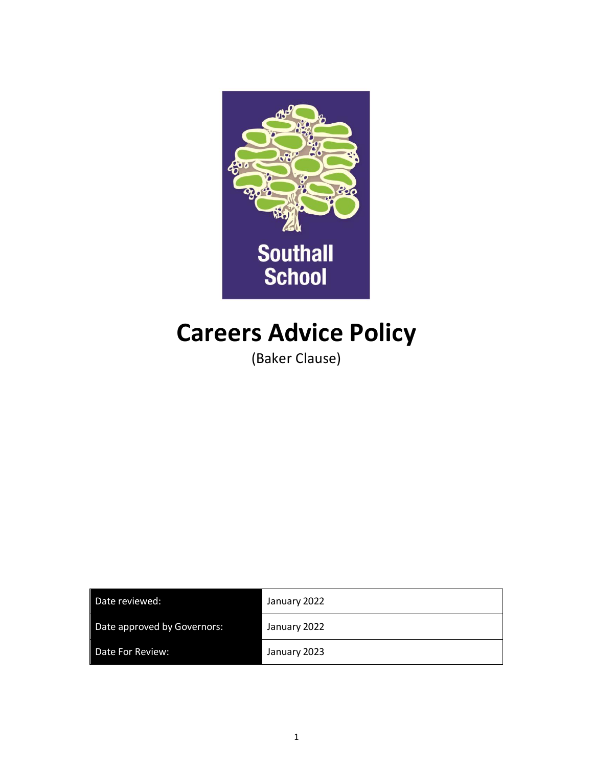

# **Careers Advice Policy**

(Baker Clause)

| Date reviewed:              | January 2022 |
|-----------------------------|--------------|
| Date approved by Governors: | January 2022 |
| Date For Review:            | January 2023 |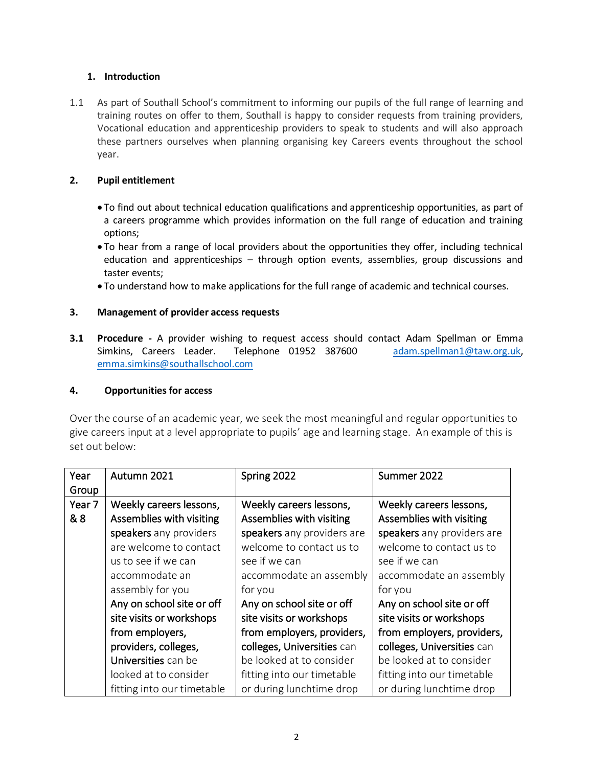### **1. Introduction**

1.1 As part of Southall School's commitment to informing our pupils of the full range of learning and training routes on offer to them, Southall is happy to consider requests from training providers, Vocational education and apprenticeship providers to speak to students and will also approach these partners ourselves when planning organising key Careers events throughout the school year.

### **2. Pupil entitlement**

- To find out about technical education qualifications and apprenticeship opportunities, as part of a careers programme which provides information on the full range of education and training options;
- To hear from a range of local providers about the opportunities they offer, including technical education and apprenticeships – through option events, assemblies, group discussions and taster events;
- To understand how to make applications for the full range of academic and technical courses.

## **3. Management of provider access requests**

**3.1 Procedure -** A provider wishing to request access should contact Adam Spellman or Emma Simkins, Careers Leader. Telephone 01952 387600 [adam.spellman1@taw.org.uk,](mailto:adam.spellman1@taw.org.uk) [emma.simkins@southallschool.com](mailto:emma.simkins@southallschool.com)

#### **4. Opportunities for access**

Over the course of an academic year, we seek the most meaningful and regular opportunities to give careers input at a level appropriate to pupils' age and learning stage. An example of this is set out below:

| Year              | Autumn 2021                | Spring 2022                | Summer 2022                |
|-------------------|----------------------------|----------------------------|----------------------------|
| Group             |                            |                            |                            |
| Year <sub>7</sub> | Weekly careers lessons,    | Weekly careers lessons,    | Weekly careers lessons,    |
| & 8               | Assemblies with visiting   | Assemblies with visiting   | Assemblies with visiting   |
|                   | speakers any providers     | speakers any providers are | speakers any providers are |
|                   | are welcome to contact     | welcome to contact us to   | welcome to contact us to   |
|                   | us to see if we can        | see if we can              | see if we can              |
|                   | accommodate an             | accommodate an assembly    | accommodate an assembly    |
|                   | assembly for you           | for you                    | for you                    |
|                   | Any on school site or off  | Any on school site or off  | Any on school site or off  |
|                   | site visits or workshops   | site visits or workshops   | site visits or workshops   |
|                   | from employers,            | from employers, providers, | from employers, providers, |
|                   | providers, colleges,       | colleges, Universities can | colleges, Universities can |
|                   | Universities can be        | be looked at to consider   | be looked at to consider   |
|                   | looked at to consider      | fitting into our timetable | fitting into our timetable |
|                   | fitting into our timetable | or during lunchtime drop   | or during lunchtime drop   |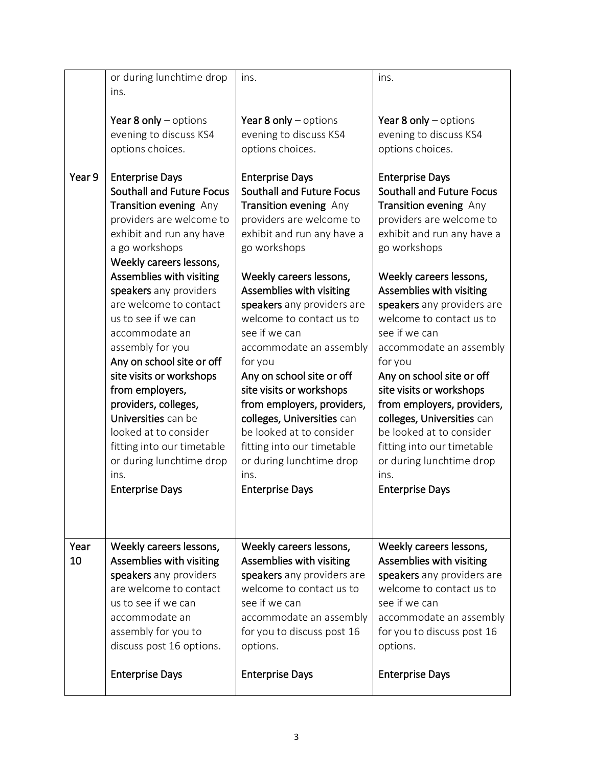| Year 8 only $-$ options<br>Year 8 only $-$ options<br>Year 8 only $-$ options<br>evening to discuss KS4<br>evening to discuss KS4<br>evening to discuss KS4<br>options choices.<br>options choices.<br>options choices.<br>Year 9<br><b>Enterprise Days</b><br><b>Enterprise Days</b><br><b>Enterprise Days</b><br><b>Southall and Future Focus</b><br><b>Southall and Future Focus</b><br><b>Southall and Future Focus</b><br>Transition evening Any<br>Transition evening Any<br>Transition evening Any<br>providers are welcome to<br>providers are welcome to<br>providers are welcome to<br>exhibit and run any have<br>exhibit and run any have a<br>exhibit and run any have a<br>a go workshops<br>go workshops<br>go workshops<br>Weekly careers lessons,<br>Assemblies with visiting<br>Weekly careers lessons,<br>Weekly careers lessons,<br>Assemblies with visiting<br>Assemblies with visiting<br>speakers any providers<br>are welcome to contact<br>speakers any providers are<br>speakers any providers are<br>welcome to contact us to<br>welcome to contact us to<br>us to see if we can<br>see if we can<br>see if we can<br>accommodate an<br>assembly for you<br>accommodate an assembly<br>accommodate an assembly<br>Any on school site or off<br>for you<br>for you<br>site visits or workshops<br>Any on school site or off<br>Any on school site or off<br>from employers,<br>site visits or workshops<br>site visits or workshops<br>providers, colleges,<br>from employers, providers,<br>from employers, providers,<br>Universities can be<br>colleges, Universities can<br>colleges, Universities can<br>be looked at to consider<br>looked at to consider<br>be looked at to consider<br>fitting into our timetable<br>fitting into our timetable<br>fitting into our timetable<br>or during lunchtime drop<br>or during lunchtime drop<br>or during lunchtime drop<br>ins.<br>ins.<br>ins.<br><b>Enterprise Days</b><br><b>Enterprise Days</b><br><b>Enterprise Days</b><br>Year<br>Weekly careers lessons,<br>Weekly careers lessons,<br>Weekly careers lessons,<br>10<br>Assemblies with visiting<br>Assemblies with visiting<br>Assemblies with visiting<br>speakers any providers<br>speakers any providers are<br>speakers any providers are<br>are welcome to contact<br>welcome to contact us to<br>welcome to contact us to<br>us to see if we can<br>see if we can<br>see if we can<br>accommodate an<br>accommodate an assembly<br>accommodate an assembly<br>assembly for you to<br>for you to discuss post 16<br>for you to discuss post 16<br>discuss post 16 options.<br>options.<br>options.<br><b>Enterprise Days</b><br><b>Enterprise Days</b><br><b>Enterprise Days</b> | or during lunchtime drop | ins. | ins. |
|----------------------------------------------------------------------------------------------------------------------------------------------------------------------------------------------------------------------------------------------------------------------------------------------------------------------------------------------------------------------------------------------------------------------------------------------------------------------------------------------------------------------------------------------------------------------------------------------------------------------------------------------------------------------------------------------------------------------------------------------------------------------------------------------------------------------------------------------------------------------------------------------------------------------------------------------------------------------------------------------------------------------------------------------------------------------------------------------------------------------------------------------------------------------------------------------------------------------------------------------------------------------------------------------------------------------------------------------------------------------------------------------------------------------------------------------------------------------------------------------------------------------------------------------------------------------------------------------------------------------------------------------------------------------------------------------------------------------------------------------------------------------------------------------------------------------------------------------------------------------------------------------------------------------------------------------------------------------------------------------------------------------------------------------------------------------------------------------------------------------------------------------------------------------------------------------------------------------------------------------------------------------------------------------------------------------------------------------------------------------------------------------------------------------------------------------------------------------------------------------------------------------------------------------------------------------------------------------------------------------------------------------------------------------------------------------------------------------------|--------------------------|------|------|
|                                                                                                                                                                                                                                                                                                                                                                                                                                                                                                                                                                                                                                                                                                                                                                                                                                                                                                                                                                                                                                                                                                                                                                                                                                                                                                                                                                                                                                                                                                                                                                                                                                                                                                                                                                                                                                                                                                                                                                                                                                                                                                                                                                                                                                                                                                                                                                                                                                                                                                                                                                                                                                                                                                                            | ins.                     |      |      |
|                                                                                                                                                                                                                                                                                                                                                                                                                                                                                                                                                                                                                                                                                                                                                                                                                                                                                                                                                                                                                                                                                                                                                                                                                                                                                                                                                                                                                                                                                                                                                                                                                                                                                                                                                                                                                                                                                                                                                                                                                                                                                                                                                                                                                                                                                                                                                                                                                                                                                                                                                                                                                                                                                                                            |                          |      |      |
|                                                                                                                                                                                                                                                                                                                                                                                                                                                                                                                                                                                                                                                                                                                                                                                                                                                                                                                                                                                                                                                                                                                                                                                                                                                                                                                                                                                                                                                                                                                                                                                                                                                                                                                                                                                                                                                                                                                                                                                                                                                                                                                                                                                                                                                                                                                                                                                                                                                                                                                                                                                                                                                                                                                            |                          |      |      |
|                                                                                                                                                                                                                                                                                                                                                                                                                                                                                                                                                                                                                                                                                                                                                                                                                                                                                                                                                                                                                                                                                                                                                                                                                                                                                                                                                                                                                                                                                                                                                                                                                                                                                                                                                                                                                                                                                                                                                                                                                                                                                                                                                                                                                                                                                                                                                                                                                                                                                                                                                                                                                                                                                                                            |                          |      |      |
|                                                                                                                                                                                                                                                                                                                                                                                                                                                                                                                                                                                                                                                                                                                                                                                                                                                                                                                                                                                                                                                                                                                                                                                                                                                                                                                                                                                                                                                                                                                                                                                                                                                                                                                                                                                                                                                                                                                                                                                                                                                                                                                                                                                                                                                                                                                                                                                                                                                                                                                                                                                                                                                                                                                            |                          |      |      |
|                                                                                                                                                                                                                                                                                                                                                                                                                                                                                                                                                                                                                                                                                                                                                                                                                                                                                                                                                                                                                                                                                                                                                                                                                                                                                                                                                                                                                                                                                                                                                                                                                                                                                                                                                                                                                                                                                                                                                                                                                                                                                                                                                                                                                                                                                                                                                                                                                                                                                                                                                                                                                                                                                                                            |                          |      |      |
|                                                                                                                                                                                                                                                                                                                                                                                                                                                                                                                                                                                                                                                                                                                                                                                                                                                                                                                                                                                                                                                                                                                                                                                                                                                                                                                                                                                                                                                                                                                                                                                                                                                                                                                                                                                                                                                                                                                                                                                                                                                                                                                                                                                                                                                                                                                                                                                                                                                                                                                                                                                                                                                                                                                            |                          |      |      |
|                                                                                                                                                                                                                                                                                                                                                                                                                                                                                                                                                                                                                                                                                                                                                                                                                                                                                                                                                                                                                                                                                                                                                                                                                                                                                                                                                                                                                                                                                                                                                                                                                                                                                                                                                                                                                                                                                                                                                                                                                                                                                                                                                                                                                                                                                                                                                                                                                                                                                                                                                                                                                                                                                                                            |                          |      |      |
|                                                                                                                                                                                                                                                                                                                                                                                                                                                                                                                                                                                                                                                                                                                                                                                                                                                                                                                                                                                                                                                                                                                                                                                                                                                                                                                                                                                                                                                                                                                                                                                                                                                                                                                                                                                                                                                                                                                                                                                                                                                                                                                                                                                                                                                                                                                                                                                                                                                                                                                                                                                                                                                                                                                            |                          |      |      |
|                                                                                                                                                                                                                                                                                                                                                                                                                                                                                                                                                                                                                                                                                                                                                                                                                                                                                                                                                                                                                                                                                                                                                                                                                                                                                                                                                                                                                                                                                                                                                                                                                                                                                                                                                                                                                                                                                                                                                                                                                                                                                                                                                                                                                                                                                                                                                                                                                                                                                                                                                                                                                                                                                                                            |                          |      |      |
|                                                                                                                                                                                                                                                                                                                                                                                                                                                                                                                                                                                                                                                                                                                                                                                                                                                                                                                                                                                                                                                                                                                                                                                                                                                                                                                                                                                                                                                                                                                                                                                                                                                                                                                                                                                                                                                                                                                                                                                                                                                                                                                                                                                                                                                                                                                                                                                                                                                                                                                                                                                                                                                                                                                            |                          |      |      |
|                                                                                                                                                                                                                                                                                                                                                                                                                                                                                                                                                                                                                                                                                                                                                                                                                                                                                                                                                                                                                                                                                                                                                                                                                                                                                                                                                                                                                                                                                                                                                                                                                                                                                                                                                                                                                                                                                                                                                                                                                                                                                                                                                                                                                                                                                                                                                                                                                                                                                                                                                                                                                                                                                                                            |                          |      |      |
|                                                                                                                                                                                                                                                                                                                                                                                                                                                                                                                                                                                                                                                                                                                                                                                                                                                                                                                                                                                                                                                                                                                                                                                                                                                                                                                                                                                                                                                                                                                                                                                                                                                                                                                                                                                                                                                                                                                                                                                                                                                                                                                                                                                                                                                                                                                                                                                                                                                                                                                                                                                                                                                                                                                            |                          |      |      |
|                                                                                                                                                                                                                                                                                                                                                                                                                                                                                                                                                                                                                                                                                                                                                                                                                                                                                                                                                                                                                                                                                                                                                                                                                                                                                                                                                                                                                                                                                                                                                                                                                                                                                                                                                                                                                                                                                                                                                                                                                                                                                                                                                                                                                                                                                                                                                                                                                                                                                                                                                                                                                                                                                                                            |                          |      |      |
|                                                                                                                                                                                                                                                                                                                                                                                                                                                                                                                                                                                                                                                                                                                                                                                                                                                                                                                                                                                                                                                                                                                                                                                                                                                                                                                                                                                                                                                                                                                                                                                                                                                                                                                                                                                                                                                                                                                                                                                                                                                                                                                                                                                                                                                                                                                                                                                                                                                                                                                                                                                                                                                                                                                            |                          |      |      |
|                                                                                                                                                                                                                                                                                                                                                                                                                                                                                                                                                                                                                                                                                                                                                                                                                                                                                                                                                                                                                                                                                                                                                                                                                                                                                                                                                                                                                                                                                                                                                                                                                                                                                                                                                                                                                                                                                                                                                                                                                                                                                                                                                                                                                                                                                                                                                                                                                                                                                                                                                                                                                                                                                                                            |                          |      |      |
|                                                                                                                                                                                                                                                                                                                                                                                                                                                                                                                                                                                                                                                                                                                                                                                                                                                                                                                                                                                                                                                                                                                                                                                                                                                                                                                                                                                                                                                                                                                                                                                                                                                                                                                                                                                                                                                                                                                                                                                                                                                                                                                                                                                                                                                                                                                                                                                                                                                                                                                                                                                                                                                                                                                            |                          |      |      |
|                                                                                                                                                                                                                                                                                                                                                                                                                                                                                                                                                                                                                                                                                                                                                                                                                                                                                                                                                                                                                                                                                                                                                                                                                                                                                                                                                                                                                                                                                                                                                                                                                                                                                                                                                                                                                                                                                                                                                                                                                                                                                                                                                                                                                                                                                                                                                                                                                                                                                                                                                                                                                                                                                                                            |                          |      |      |
|                                                                                                                                                                                                                                                                                                                                                                                                                                                                                                                                                                                                                                                                                                                                                                                                                                                                                                                                                                                                                                                                                                                                                                                                                                                                                                                                                                                                                                                                                                                                                                                                                                                                                                                                                                                                                                                                                                                                                                                                                                                                                                                                                                                                                                                                                                                                                                                                                                                                                                                                                                                                                                                                                                                            |                          |      |      |
|                                                                                                                                                                                                                                                                                                                                                                                                                                                                                                                                                                                                                                                                                                                                                                                                                                                                                                                                                                                                                                                                                                                                                                                                                                                                                                                                                                                                                                                                                                                                                                                                                                                                                                                                                                                                                                                                                                                                                                                                                                                                                                                                                                                                                                                                                                                                                                                                                                                                                                                                                                                                                                                                                                                            |                          |      |      |
|                                                                                                                                                                                                                                                                                                                                                                                                                                                                                                                                                                                                                                                                                                                                                                                                                                                                                                                                                                                                                                                                                                                                                                                                                                                                                                                                                                                                                                                                                                                                                                                                                                                                                                                                                                                                                                                                                                                                                                                                                                                                                                                                                                                                                                                                                                                                                                                                                                                                                                                                                                                                                                                                                                                            |                          |      |      |
|                                                                                                                                                                                                                                                                                                                                                                                                                                                                                                                                                                                                                                                                                                                                                                                                                                                                                                                                                                                                                                                                                                                                                                                                                                                                                                                                                                                                                                                                                                                                                                                                                                                                                                                                                                                                                                                                                                                                                                                                                                                                                                                                                                                                                                                                                                                                                                                                                                                                                                                                                                                                                                                                                                                            |                          |      |      |
|                                                                                                                                                                                                                                                                                                                                                                                                                                                                                                                                                                                                                                                                                                                                                                                                                                                                                                                                                                                                                                                                                                                                                                                                                                                                                                                                                                                                                                                                                                                                                                                                                                                                                                                                                                                                                                                                                                                                                                                                                                                                                                                                                                                                                                                                                                                                                                                                                                                                                                                                                                                                                                                                                                                            |                          |      |      |
|                                                                                                                                                                                                                                                                                                                                                                                                                                                                                                                                                                                                                                                                                                                                                                                                                                                                                                                                                                                                                                                                                                                                                                                                                                                                                                                                                                                                                                                                                                                                                                                                                                                                                                                                                                                                                                                                                                                                                                                                                                                                                                                                                                                                                                                                                                                                                                                                                                                                                                                                                                                                                                                                                                                            |                          |      |      |
|                                                                                                                                                                                                                                                                                                                                                                                                                                                                                                                                                                                                                                                                                                                                                                                                                                                                                                                                                                                                                                                                                                                                                                                                                                                                                                                                                                                                                                                                                                                                                                                                                                                                                                                                                                                                                                                                                                                                                                                                                                                                                                                                                                                                                                                                                                                                                                                                                                                                                                                                                                                                                                                                                                                            |                          |      |      |
|                                                                                                                                                                                                                                                                                                                                                                                                                                                                                                                                                                                                                                                                                                                                                                                                                                                                                                                                                                                                                                                                                                                                                                                                                                                                                                                                                                                                                                                                                                                                                                                                                                                                                                                                                                                                                                                                                                                                                                                                                                                                                                                                                                                                                                                                                                                                                                                                                                                                                                                                                                                                                                                                                                                            |                          |      |      |
|                                                                                                                                                                                                                                                                                                                                                                                                                                                                                                                                                                                                                                                                                                                                                                                                                                                                                                                                                                                                                                                                                                                                                                                                                                                                                                                                                                                                                                                                                                                                                                                                                                                                                                                                                                                                                                                                                                                                                                                                                                                                                                                                                                                                                                                                                                                                                                                                                                                                                                                                                                                                                                                                                                                            |                          |      |      |
|                                                                                                                                                                                                                                                                                                                                                                                                                                                                                                                                                                                                                                                                                                                                                                                                                                                                                                                                                                                                                                                                                                                                                                                                                                                                                                                                                                                                                                                                                                                                                                                                                                                                                                                                                                                                                                                                                                                                                                                                                                                                                                                                                                                                                                                                                                                                                                                                                                                                                                                                                                                                                                                                                                                            |                          |      |      |
|                                                                                                                                                                                                                                                                                                                                                                                                                                                                                                                                                                                                                                                                                                                                                                                                                                                                                                                                                                                                                                                                                                                                                                                                                                                                                                                                                                                                                                                                                                                                                                                                                                                                                                                                                                                                                                                                                                                                                                                                                                                                                                                                                                                                                                                                                                                                                                                                                                                                                                                                                                                                                                                                                                                            |                          |      |      |
|                                                                                                                                                                                                                                                                                                                                                                                                                                                                                                                                                                                                                                                                                                                                                                                                                                                                                                                                                                                                                                                                                                                                                                                                                                                                                                                                                                                                                                                                                                                                                                                                                                                                                                                                                                                                                                                                                                                                                                                                                                                                                                                                                                                                                                                                                                                                                                                                                                                                                                                                                                                                                                                                                                                            |                          |      |      |
|                                                                                                                                                                                                                                                                                                                                                                                                                                                                                                                                                                                                                                                                                                                                                                                                                                                                                                                                                                                                                                                                                                                                                                                                                                                                                                                                                                                                                                                                                                                                                                                                                                                                                                                                                                                                                                                                                                                                                                                                                                                                                                                                                                                                                                                                                                                                                                                                                                                                                                                                                                                                                                                                                                                            |                          |      |      |
|                                                                                                                                                                                                                                                                                                                                                                                                                                                                                                                                                                                                                                                                                                                                                                                                                                                                                                                                                                                                                                                                                                                                                                                                                                                                                                                                                                                                                                                                                                                                                                                                                                                                                                                                                                                                                                                                                                                                                                                                                                                                                                                                                                                                                                                                                                                                                                                                                                                                                                                                                                                                                                                                                                                            |                          |      |      |
|                                                                                                                                                                                                                                                                                                                                                                                                                                                                                                                                                                                                                                                                                                                                                                                                                                                                                                                                                                                                                                                                                                                                                                                                                                                                                                                                                                                                                                                                                                                                                                                                                                                                                                                                                                                                                                                                                                                                                                                                                                                                                                                                                                                                                                                                                                                                                                                                                                                                                                                                                                                                                                                                                                                            |                          |      |      |
|                                                                                                                                                                                                                                                                                                                                                                                                                                                                                                                                                                                                                                                                                                                                                                                                                                                                                                                                                                                                                                                                                                                                                                                                                                                                                                                                                                                                                                                                                                                                                                                                                                                                                                                                                                                                                                                                                                                                                                                                                                                                                                                                                                                                                                                                                                                                                                                                                                                                                                                                                                                                                                                                                                                            |                          |      |      |
|                                                                                                                                                                                                                                                                                                                                                                                                                                                                                                                                                                                                                                                                                                                                                                                                                                                                                                                                                                                                                                                                                                                                                                                                                                                                                                                                                                                                                                                                                                                                                                                                                                                                                                                                                                                                                                                                                                                                                                                                                                                                                                                                                                                                                                                                                                                                                                                                                                                                                                                                                                                                                                                                                                                            |                          |      |      |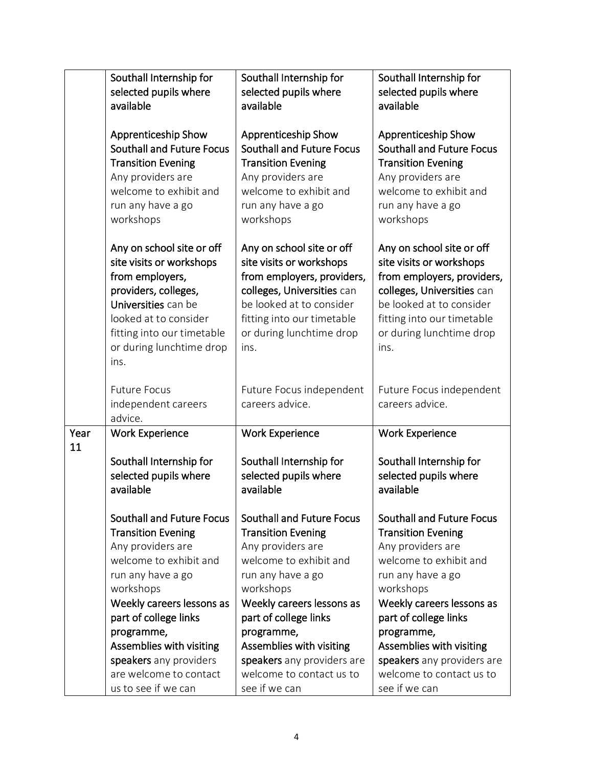|      | Southall Internship for<br>selected pupils where<br>available                                                                                                                                                      | Southall Internship for<br>selected pupils where<br>available                                                                                                                                                   | Southall Internship for<br>selected pupils where<br>available                                                                                                                                                   |
|------|--------------------------------------------------------------------------------------------------------------------------------------------------------------------------------------------------------------------|-----------------------------------------------------------------------------------------------------------------------------------------------------------------------------------------------------------------|-----------------------------------------------------------------------------------------------------------------------------------------------------------------------------------------------------------------|
|      | Apprenticeship Show<br><b>Southall and Future Focus</b><br><b>Transition Evening</b><br>Any providers are<br>welcome to exhibit and<br>run any have a go<br>workshops                                              | Apprenticeship Show<br><b>Southall and Future Focus</b><br><b>Transition Evening</b><br>Any providers are<br>welcome to exhibit and<br>run any have a go<br>workshops                                           | <b>Apprenticeship Show</b><br><b>Southall and Future Focus</b><br><b>Transition Evening</b><br>Any providers are<br>welcome to exhibit and<br>run any have a go<br>workshops                                    |
|      | Any on school site or off<br>site visits or workshops<br>from employers,<br>providers, colleges,<br>Universities can be<br>looked at to consider<br>fitting into our timetable<br>or during lunchtime drop<br>ins. | Any on school site or off<br>site visits or workshops<br>from employers, providers,<br>colleges, Universities can<br>be looked at to consider<br>fitting into our timetable<br>or during lunchtime drop<br>ins. | Any on school site or off<br>site visits or workshops<br>from employers, providers,<br>colleges, Universities can<br>be looked at to consider<br>fitting into our timetable<br>or during lunchtime drop<br>ins. |
|      | <b>Future Focus</b><br>independent careers<br>advice.                                                                                                                                                              | Future Focus independent<br>careers advice.                                                                                                                                                                     | Future Focus independent<br>careers advice.                                                                                                                                                                     |
| Year | <b>Work Experience</b>                                                                                                                                                                                             | <b>Work Experience</b>                                                                                                                                                                                          | <b>Work Experience</b>                                                                                                                                                                                          |
| 11   | Southall Internship for<br>selected pupils where<br>available                                                                                                                                                      | Southall Internship for<br>selected pupils where<br>available                                                                                                                                                   | Southall Internship for<br>selected pupils where<br>available                                                                                                                                                   |
|      | <b>Southall and Future Focus</b><br><b>Transition Evening</b><br>Any providers are<br>welcome to exhibit and<br>run any have a go<br>workshops<br>Weekly careers lessons as                                        | <b>Southall and Future Focus</b><br><b>Transition Evening</b><br>Any providers are<br>welcome to exhibit and<br>run any have a go<br>workshops<br>Weekly careers lessons as                                     | <b>Southall and Future Focus</b><br><b>Transition Evening</b><br>Any providers are<br>welcome to exhibit and<br>run any have a go<br>workshops<br>Weekly careers lessons as                                     |
|      | part of college links                                                                                                                                                                                              | part of college links                                                                                                                                                                                           | part of college links                                                                                                                                                                                           |
|      | programme,<br>Assemblies with visiting                                                                                                                                                                             | programme,<br>Assemblies with visiting                                                                                                                                                                          | programme,<br>Assemblies with visiting                                                                                                                                                                          |
|      | speakers any providers                                                                                                                                                                                             | speakers any providers are                                                                                                                                                                                      | speakers any providers are                                                                                                                                                                                      |
|      | are welcome to contact                                                                                                                                                                                             | welcome to contact us to                                                                                                                                                                                        | welcome to contact us to                                                                                                                                                                                        |
|      | us to see if we can                                                                                                                                                                                                | see if we can                                                                                                                                                                                                   | see if we can                                                                                                                                                                                                   |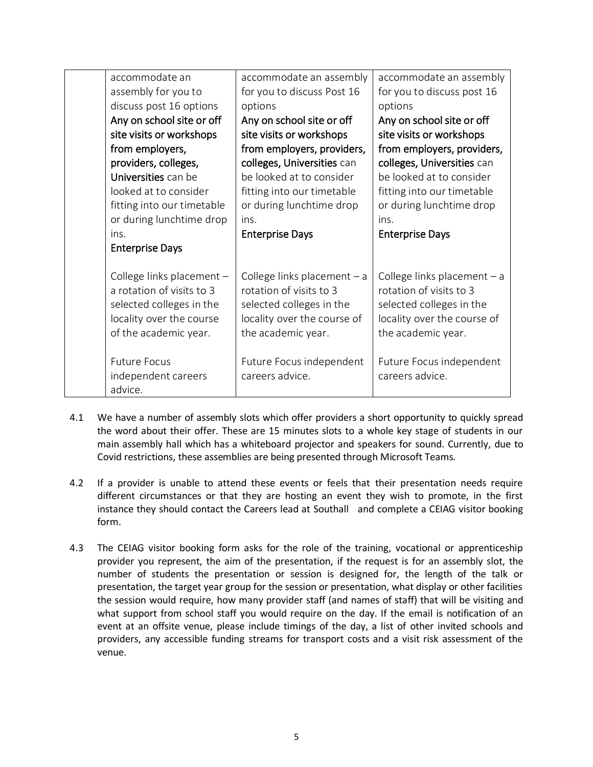| accommodate an<br>assembly for you to<br>discuss post 16 options<br>Any on school site or off<br>site visits or workshops<br>from employers,<br>providers, colleges,<br>Universities can be<br>looked at to consider<br>fitting into our timetable<br>or during lunchtime drop<br>ins. | accommodate an assembly<br>for you to discuss Post 16<br>options<br>Any on school site or off<br>site visits or workshops<br>from employers, providers,<br>colleges, Universities can<br>be looked at to consider<br>fitting into our timetable<br>or during lunchtime drop<br>ins.<br><b>Enterprise Days</b> | accommodate an assembly<br>for you to discuss post 16<br>options<br>Any on school site or off<br>site visits or workshops<br>from employers, providers,<br>colleges, Universities can<br>be looked at to consider<br>fitting into our timetable<br>or during lunchtime drop<br>ins.<br><b>Enterprise Days</b> |
|----------------------------------------------------------------------------------------------------------------------------------------------------------------------------------------------------------------------------------------------------------------------------------------|---------------------------------------------------------------------------------------------------------------------------------------------------------------------------------------------------------------------------------------------------------------------------------------------------------------|---------------------------------------------------------------------------------------------------------------------------------------------------------------------------------------------------------------------------------------------------------------------------------------------------------------|
| <b>Enterprise Days</b><br>College links placement -<br>a rotation of visits to 3<br>selected colleges in the<br>locality over the course<br>of the academic year.<br><b>Future Focus</b><br>independent careers<br>advice.                                                             | College links placement $-$ a<br>rotation of visits to 3<br>selected colleges in the<br>locality over the course of<br>the academic year.<br>Future Focus independent<br>careers advice.                                                                                                                      | College links placement $-$ a<br>rotation of visits to 3<br>selected colleges in the<br>locality over the course of<br>the academic year.<br>Future Focus independent<br>careers advice.                                                                                                                      |

- 4.1 We have a number of assembly slots which offer providers a short opportunity to quickly spread the word about their offer. These are 15 minutes slots to a whole key stage of students in our main assembly hall which has a whiteboard projector and speakers for sound. Currently, due to Covid restrictions, these assemblies are being presented through Microsoft Teams.
- 4.2 If a provider is unable to attend these events or feels that their presentation needs require different circumstances or that they are hosting an event they wish to promote, in the first instance they should contact the Careers lead at Southall and complete a CEIAG visitor booking form.
- 4.3 The CEIAG visitor booking form asks for the role of the training, vocational or apprenticeship provider you represent, the aim of the presentation, if the request is for an assembly slot, the number of students the presentation or session is designed for, the length of the talk or presentation, the target year group for the session or presentation, what display or other facilities the session would require, how many provider staff (and names of staff) that will be visiting and what support from school staff you would require on the day. If the email is notification of an event at an offsite venue, please include timings of the day, a list of other invited schools and providers, any accessible funding streams for transport costs and a visit risk assessment of the venue.